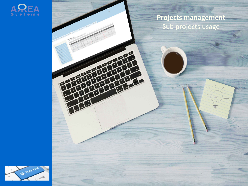

### **Projects management** Sub projects usage

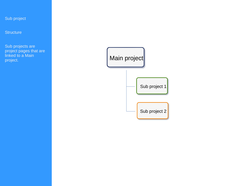### Sub project

**Structure** 

Sub projects are project pages that are linked to a Main linked to a Main project.

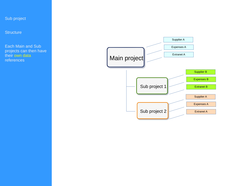### Sub project

**Structure** 

Each Main and Sub projects can then have their own data<br>references

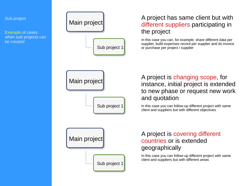

## A project has same client but with different suppliers participating in

In this case you can, for example, share different data per supplier, build expenses record per supplier and do invoice or purchase per project / supplier

A project is changing scope, for instance, initial project is extended to new phase or request new work

In this case you can follow-up different project with same client and suppliers but with different objectives

# A project is covering different countries or is extended

In this case you can follow-up different project with same client and suppliers but with different areas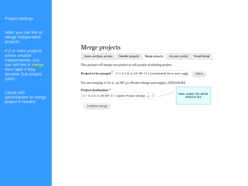#### Project settings

Note: you can link or merge independent projects.

If 2 or more projects where created independently, you can still link or merge them later if they become Sub project types.

Check with administrator to merge project if needed.

### Merge projects